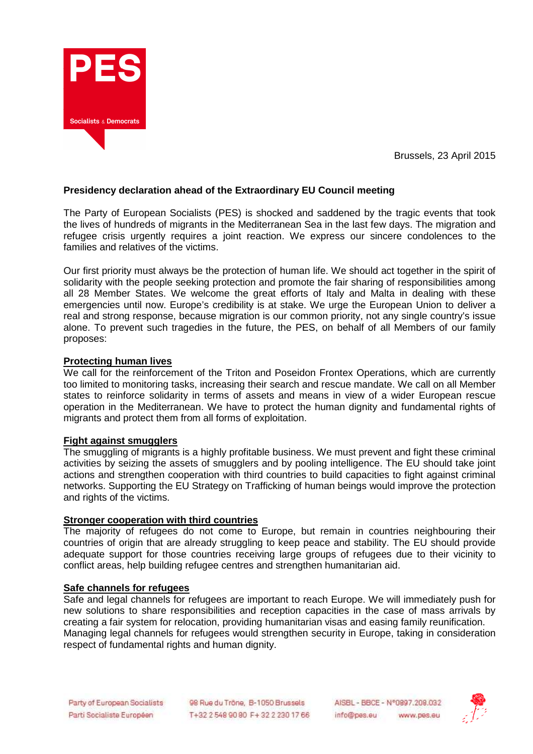

Brussels, 23 April 2015

# **Presidency declaration ahead of the Extraordinary EU Council meeting**

The Party of European Socialists (PES) is shocked and saddened by the tragic events that took the lives of hundreds of migrants in the Mediterranean Sea in the last few days. The migration and refugee crisis urgently requires a joint reaction. We express our sincere condolences to the families and relatives of the victims.

Our first priority must always be the protection of human life. We should act together in the spirit of solidarity with the people seeking protection and promote the fair sharing of responsibilities among all 28 Member States. We welcome the great efforts of Italy and Malta in dealing with these emergencies until now. Europe's credibility is at stake. We urge the European Union to deliver a real and strong response, because migration is our common priority, not any single country's issue alone. To prevent such tragedies in the future, the PES, on behalf of all Members of our family proposes:

#### **Protecting human lives**

We call for the reinforcement of the Triton and Poseidon Frontex Operations, which are currently too limited to monitoring tasks, increasing their search and rescue mandate. We call on all Member states to reinforce solidarity in terms of assets and means in view of a wider European rescue operation in the Mediterranean. We have to protect the human dignity and fundamental rights of migrants and protect them from all forms of exploitation.

### **Fight against smugglers**

The smuggling of migrants is a highly profitable business. We must prevent and fight these criminal activities by seizing the assets of smugglers and by pooling intelligence. The EU should take joint actions and strengthen cooperation with third countries to build capacities to fight against criminal networks. Supporting the EU Strategy on Trafficking of human beings would improve the protection and rights of the victims.

#### **Stronger cooperation with third countries**

The majority of refugees do not come to Europe, but remain in countries neighbouring their countries of origin that are already struggling to keep peace and stability. The EU should provide adequate support for those countries receiving large groups of refugees due to their vicinity to conflict areas, help building refugee centres and strengthen humanitarian aid.

#### **Safe channels for refugees**

Safe and legal channels for refugees are important to reach Europe. We will immediately push for new solutions to share responsibilities and reception capacities in the case of mass arrivals by creating a fair system for relocation, providing humanitarian visas and easing family reunification. Managing legal channels for refugees would strengthen security in Europe, taking in consideration respect of fundamental rights and human dignity.